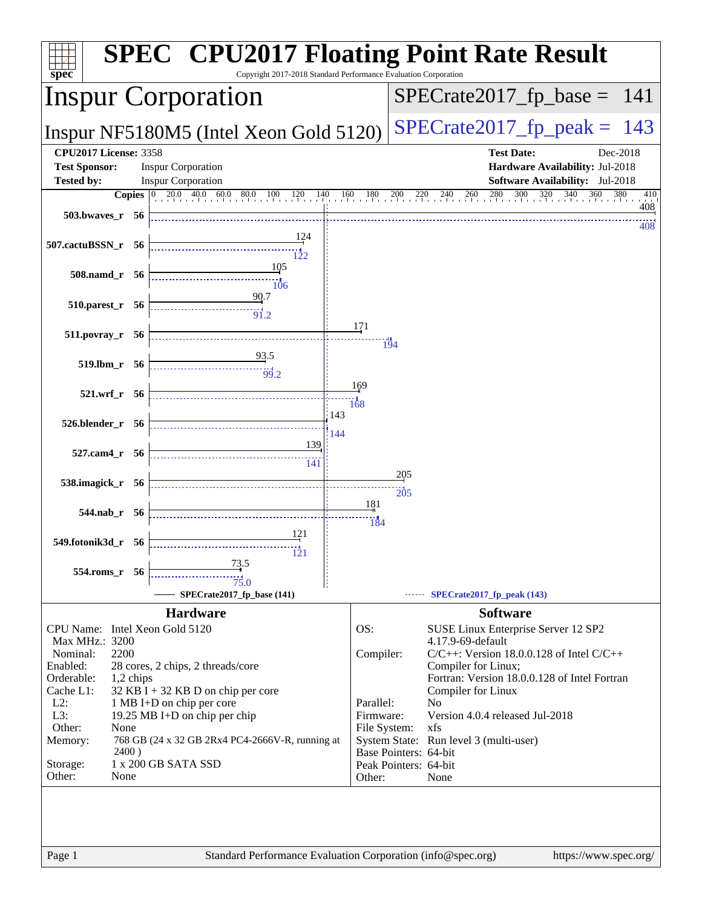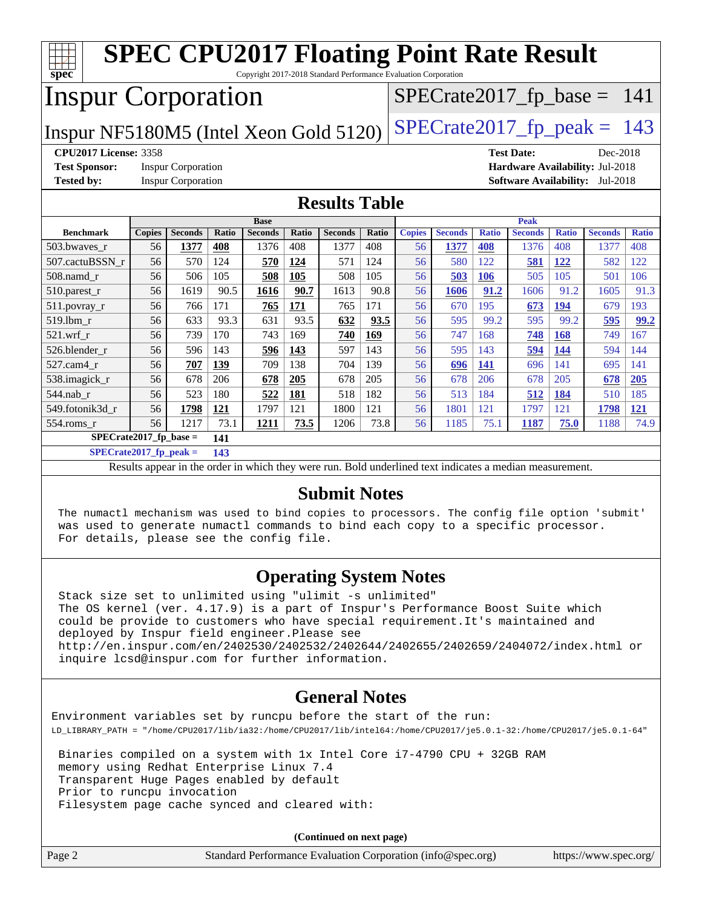| <b>SPEC CPU2017 Floating Point Rate Result</b><br>┯┽┼<br>spec <sup>®</sup><br>Copyright 2017-2018 Standard Performance Evaluation Corporation |                                                              |                           |              |                |       |                |       |               |                |              |                                        |              |                |              |
|-----------------------------------------------------------------------------------------------------------------------------------------------|--------------------------------------------------------------|---------------------------|--------------|----------------|-------|----------------|-------|---------------|----------------|--------------|----------------------------------------|--------------|----------------|--------------|
| <b>Inspur Corporation</b><br>$SPECrate2017_fp\_base = 141$                                                                                    |                                                              |                           |              |                |       |                |       |               |                |              |                                        |              |                |              |
| $SPECrate2017_fp\_peak = 143$<br>Inspur NF5180M5 (Intel Xeon Gold 5120)                                                                       |                                                              |                           |              |                |       |                |       |               |                |              |                                        |              |                |              |
| <b>CPU2017 License: 3358</b><br><b>Test Date:</b><br>Dec-2018                                                                                 |                                                              |                           |              |                |       |                |       |               |                |              |                                        |              |                |              |
| <b>Test Sponsor:</b>                                                                                                                          | Hardware Availability: Jul-2018<br><b>Inspur Corporation</b> |                           |              |                |       |                |       |               |                |              |                                        |              |                |              |
| <b>Tested by:</b>                                                                                                                             |                                                              | <b>Inspur Corporation</b> |              |                |       |                |       |               |                |              | <b>Software Availability:</b> Jul-2018 |              |                |              |
| <b>Results Table</b>                                                                                                                          |                                                              |                           |              |                |       |                |       |               |                |              |                                        |              |                |              |
| Peak<br><b>Base</b>                                                                                                                           |                                                              |                           |              |                |       |                |       |               |                |              |                                        |              |                |              |
| <b>Benchmark</b>                                                                                                                              | <b>Copies</b>                                                | <b>Seconds</b>            | <b>Ratio</b> | <b>Seconds</b> | Ratio | <b>Seconds</b> | Ratio | <b>Copies</b> | <b>Seconds</b> | <b>Ratio</b> | <b>Seconds</b>                         | <b>Ratio</b> | <b>Seconds</b> | <b>Ratio</b> |
| 503.bwaves_r                                                                                                                                  | 56                                                           | 1377                      | 408          | 1376           | 408   | 1377           | 408   | 56            | 1377           | 408          | 1376                                   | 408          | 1377           | 408          |
| 507.cactuBSSN r                                                                                                                               | 56                                                           | 570                       | 124          | 570            | 124   | 571            | 124   | 56            | 580            | 122          | 581                                    | 122          | 582            | 122          |
| 508.namd_r                                                                                                                                    | 56                                                           | 506                       | 105          | 508            | 105   | 508            | 105   | 56            | 503            | 106          | 505                                    | 105          | 501            | 106          |
| $510.parest_r$                                                                                                                                | 56                                                           | 1619                      | 90.5         | 1616           | 90.7  | 1613           | 90.8  | 56            | 1606           | 91.2         | 1606                                   | 91.2         | 1605           | 91.3         |
| $511.$ povray_r                                                                                                                               | 56                                                           | 766                       | 171          | 765            | 171   | 765            | 171   | 56            | 670            | 195          | 673                                    | 194          | 679            | 193          |
| 519.lbm r                                                                                                                                     | 56                                                           | 633                       | 93.3         | 631            | 93.5  | 632            | 93.5  | 56            | 595            | 99.2         | 595                                    | 99.2         | 595            | 99.2         |
| 521.wrf r                                                                                                                                     | 56                                                           | 739                       | 170          | 743            | 169   | 740            | 169   | 56            | 747            | 168          | 748                                    | 168          | 749            | 167          |
| 526.blender r                                                                                                                                 | 56                                                           | 596                       | 143          | 596            | 143   | 597            | 143   | 56            | 595            | 143          | 594                                    | 144          | 594            | 144          |
| 527.cam4_r                                                                                                                                    | 56                                                           | 707                       | 139          | 709            | 138   | 704            | 139   | 56            | 696            | 141          | 696                                    | 141          | 695            | 141          |
| 538.imagick r                                                                                                                                 | 56                                                           | 678                       | 206          | 678            | 205   | 678            | 205   | 56            | 678            | 206          | 678                                    | 205          | 678            | 205          |
| 544.nab_r                                                                                                                                     | 56                                                           | 523                       | 180          | 522            | 181   | 518            | 182   | 56            | 513            | 184          | 512                                    | <b>184</b>   | 510            | 185          |
| 549.fotonik3d r                                                                                                                               | 56                                                           | 1798                      | 121          | 1797           | 121   | 1800           | 121   | 56            | 1801           | 121          | 1797                                   | 121          | 1798           | 121          |
| 554.roms r                                                                                                                                    | 56                                                           | 1217                      | 73.1         | 1211           | 73.5  | 1206           | 73.8  | 56            | 1185           | 75.1         | 1187                                   | 75.0         | 1188           | 74.9         |
| $SPECrate2017_fp\_base =$<br>141                                                                                                              |                                                              |                           |              |                |       |                |       |               |                |              |                                        |              |                |              |
| $SPECrate2017_fp_peak =$                                                                                                                      |                                                              |                           | 143          |                |       |                |       |               |                |              |                                        |              |                |              |

Results appear in the [order in which they were run.](http://www.spec.org/auto/cpu2017/Docs/result-fields.html#RunOrder) Bold underlined text [indicates a median measurement.](http://www.spec.org/auto/cpu2017/Docs/result-fields.html#Median)

#### **[Submit Notes](http://www.spec.org/auto/cpu2017/Docs/result-fields.html#SubmitNotes)**

 The numactl mechanism was used to bind copies to processors. The config file option 'submit' was used to generate numactl commands to bind each copy to a specific processor. For details, please see the config file.

#### **[Operating System Notes](http://www.spec.org/auto/cpu2017/Docs/result-fields.html#OperatingSystemNotes)**

 Stack size set to unlimited using "ulimit -s unlimited" The OS kernel (ver. 4.17.9) is a part of Inspur's Performance Boost Suite which could be provide to customers who have special requirement.It's maintained and deployed by Inspur field engineer.Please see <http://en.inspur.com/en/2402530/2402532/2402644/2402655/2402659/2404072/index.html> or inquire lcsd@inspur.com for further information.

#### **[General Notes](http://www.spec.org/auto/cpu2017/Docs/result-fields.html#GeneralNotes)**

Environment variables set by runcpu before the start of the run: LD\_LIBRARY\_PATH = "/home/CPU2017/lib/ia32:/home/CPU2017/lib/intel64:/home/CPU2017/je5.0.1-32:/home/CPU2017/je5.0.1-64"

 Binaries compiled on a system with 1x Intel Core i7-4790 CPU + 32GB RAM memory using Redhat Enterprise Linux 7.4 Transparent Huge Pages enabled by default Prior to runcpu invocation Filesystem page cache synced and cleared with:

|        | (Continued on next page)                                    |                       |
|--------|-------------------------------------------------------------|-----------------------|
| Page 2 | Standard Performance Evaluation Corporation (info@spec.org) | https://www.spec.org/ |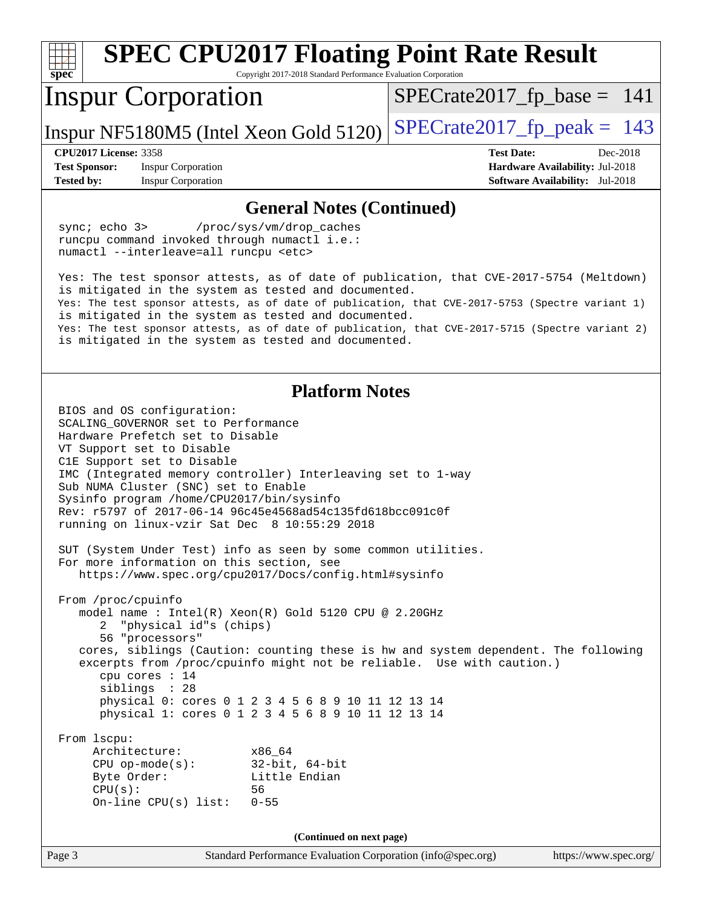| <b>SPEC CPU2017 Floating Point Rate Result</b><br>spec<br>Copyright 2017-2018 Standard Performance Evaluation Corporation                                   |                                 |  |  |  |  |  |
|-------------------------------------------------------------------------------------------------------------------------------------------------------------|---------------------------------|--|--|--|--|--|
| <b>Inspur Corporation</b>                                                                                                                                   | $SPECrate2017_fp\_base = 141$   |  |  |  |  |  |
| Inspur NF5180M5 (Intel Xeon Gold 5120)                                                                                                                      | $SPECrate2017fr peak = 143$     |  |  |  |  |  |
| <b>CPU2017 License: 3358</b>                                                                                                                                | <b>Test Date:</b><br>Dec-2018   |  |  |  |  |  |
| <b>Inspur Corporation</b><br><b>Test Sponsor:</b>                                                                                                           | Hardware Availability: Jul-2018 |  |  |  |  |  |
| <b>Inspur Corporation</b><br>Software Availability: Jul-2018<br><b>Tested by:</b>                                                                           |                                 |  |  |  |  |  |
| <b>General Notes (Continued)</b>                                                                                                                            |                                 |  |  |  |  |  |
| sync; echo 3><br>/proc/sys/vm/drop_caches<br>runcpu command invoked through numactl i.e.:<br>numactl --interleave=all runcpu <etc></etc>                    |                                 |  |  |  |  |  |
| Yes: The test sponsor attests, as of date of publication, that CVE-2017-5754 (Meltdown)                                                                     |                                 |  |  |  |  |  |
| is mitigated in the system as tested and documented.<br>Yes: The test sponsor attests, as of date of publication, that CVE-2017-5753 (Spectre variant 1)    |                                 |  |  |  |  |  |
| is mitigated in the system as tested and documented.                                                                                                        |                                 |  |  |  |  |  |
| Yes: The test sponsor attests, as of date of publication, that CVE-2017-5715 (Spectre variant 2)<br>is mitigated in the system as tested and documented.    |                                 |  |  |  |  |  |
| <b>Platform Notes</b>                                                                                                                                       |                                 |  |  |  |  |  |
| BIOS and OS configuration:                                                                                                                                  |                                 |  |  |  |  |  |
| SCALING GOVERNOR set to Performance<br>Hardware Prefetch set to Disable                                                                                     |                                 |  |  |  |  |  |
| VT Support set to Disable                                                                                                                                   |                                 |  |  |  |  |  |
| ClE Support set to Disable                                                                                                                                  |                                 |  |  |  |  |  |
| IMC (Integrated memory controller) Interleaving set to 1-way<br>Sub NUMA Cluster (SNC) set to Enable                                                        |                                 |  |  |  |  |  |
| Sysinfo program /home/CPU2017/bin/sysinfo                                                                                                                   |                                 |  |  |  |  |  |
| Rev: r5797 of 2017-06-14 96c45e4568ad54c135fd618bcc091c0f<br>running on linux-vzir Sat Dec 8 10:55:29 2018                                                  |                                 |  |  |  |  |  |
|                                                                                                                                                             |                                 |  |  |  |  |  |
| SUT (System Under Test) info as seen by some common utilities.<br>For more information on this section, see                                                 |                                 |  |  |  |  |  |
| https://www.spec.org/cpu2017/Docs/config.html#sysinfo                                                                                                       |                                 |  |  |  |  |  |
| From /proc/cpuinfo                                                                                                                                          |                                 |  |  |  |  |  |
| model name : Intel(R) Xeon(R) Gold 5120 CPU @ 2.20GHz<br>"physical id"s (chips)                                                                             |                                 |  |  |  |  |  |
| 56 "processors"                                                                                                                                             |                                 |  |  |  |  |  |
| cores, siblings (Caution: counting these is hw and system dependent. The following<br>excerpts from /proc/cpuinfo might not be reliable. Use with caution.) |                                 |  |  |  |  |  |
| cpu cores : 14                                                                                                                                              |                                 |  |  |  |  |  |
| siblings : 28<br>physical 0: cores 0 1 2 3 4 5 6 8 9 10 11 12 13 14                                                                                         |                                 |  |  |  |  |  |
| physical 1: cores 0 1 2 3 4 5 6 8 9 10 11 12 13 14                                                                                                          |                                 |  |  |  |  |  |
| From 1scpu:                                                                                                                                                 |                                 |  |  |  |  |  |
| Architecture:<br>x86 64                                                                                                                                     |                                 |  |  |  |  |  |
| $CPU$ op-mode(s):<br>$32$ -bit, $64$ -bit<br>Little Endian<br>Byte Order:                                                                                   |                                 |  |  |  |  |  |
| CPU(s):<br>56                                                                                                                                               |                                 |  |  |  |  |  |
| On-line CPU(s) list:<br>$0 - 55$                                                                                                                            |                                 |  |  |  |  |  |
| (Continued on next page)                                                                                                                                    |                                 |  |  |  |  |  |
| Standard Performance Evaluation Corporation (info@spec.org)<br>Page 3                                                                                       | https://www.spec.org/           |  |  |  |  |  |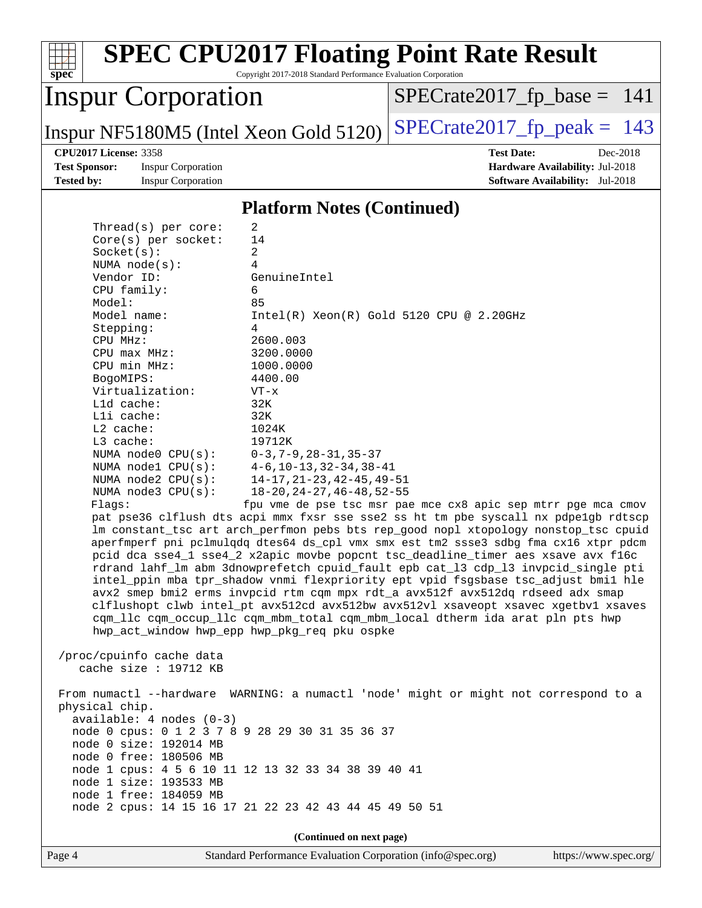#### **[spec](http://www.spec.org/) [SPEC CPU2017 Floating Point Rate Result](http://www.spec.org/auto/cpu2017/Docs/result-fields.html#SPECCPU2017FloatingPointRateResult)** Copyright 2017-2018 Standard Performance Evaluation Corporation Inspur Corporation Inspur NF5180M5 (Intel Xeon Gold 5120)  $SPECrate2017_f$  peak = 143  $SPECTate2017_fp\_base = 141$ **[CPU2017 License:](http://www.spec.org/auto/cpu2017/Docs/result-fields.html#CPU2017License)** 3358 **[Test Date:](http://www.spec.org/auto/cpu2017/Docs/result-fields.html#TestDate)** Dec-2018 **[Test Sponsor:](http://www.spec.org/auto/cpu2017/Docs/result-fields.html#TestSponsor)** Inspur Corporation **[Hardware Availability:](http://www.spec.org/auto/cpu2017/Docs/result-fields.html#HardwareAvailability)** Jul-2018 **[Tested by:](http://www.spec.org/auto/cpu2017/Docs/result-fields.html#Testedby)** Inspur Corporation **[Software Availability:](http://www.spec.org/auto/cpu2017/Docs/result-fields.html#SoftwareAvailability)** Jul-2018 **[Platform Notes \(Continued\)](http://www.spec.org/auto/cpu2017/Docs/result-fields.html#PlatformNotes)** Thread(s) per core: 2 Core(s) per socket: 14 Socket(s): 2 NUMA node(s): 4 Vendor ID: GenuineIntel CPU family: 6 Model: 85<br>Model name: 1n Intel(R) Xeon(R) Gold 5120 CPU @ 2.20GHz Stepping: 4 CPU MHz: 2600.003 CPU max MHz: 3200.0000 CPU min MHz: 1000.0000 BogoMIPS: 4400.00 Virtualization: VT-x L1d cache: 32K L1i cache: 32K L2 cache: 1024K L3 cache: 19712K NUMA node0 CPU(s): 0-3,7-9,28-31,35-37 NUMA node1 CPU(s): 4-6,10-13,32-34,38-41 NUMA node2 CPU(s): 14-17,21-23,42-45,49-51 NUMA node3 CPU(s): 18-20,24-27,46-48,52-55 Flags: fpu vme de pse tsc msr pae mce cx8 apic sep mtrr pge mca cmov pat pse36 clflush dts acpi mmx fxsr sse sse2 ss ht tm pbe syscall nx pdpe1gb rdtscp lm constant\_tsc art arch\_perfmon pebs bts rep\_good nopl xtopology nonstop\_tsc cpuid aperfmperf pni pclmulqdq dtes64 ds\_cpl vmx smx est tm2 ssse3 sdbg fma cx16 xtpr pdcm pcid dca sse4\_1 sse4\_2 x2apic movbe popcnt tsc\_deadline\_timer aes xsave avx f16c rdrand lahf\_lm abm 3dnowprefetch cpuid\_fault epb cat\_l3 cdp\_l3 invpcid\_single pti intel\_ppin mba tpr\_shadow vnmi flexpriority ept vpid fsgsbase tsc\_adjust bmi1 hle avx2 smep bmi2 erms invpcid rtm cqm mpx rdt\_a avx512f avx512dq rdseed adx smap clflushopt clwb intel\_pt avx512cd avx512bw avx512vl xsaveopt xsavec xgetbv1 xsaves cqm\_llc cqm\_occup\_llc cqm\_mbm\_total cqm\_mbm\_local dtherm ida arat pln pts hwp hwp\_act\_window hwp\_epp hwp\_pkg\_req pku ospke /proc/cpuinfo cache data cache size : 19712 KB From numactl --hardware WARNING: a numactl 'node' might or might not correspond to a physical chip. available: 4 nodes (0-3) node 0 cpus: 0 1 2 3 7 8 9 28 29 30 31 35 36 37 node 0 size: 192014 MB node 0 free: 180506 MB node 1 cpus: 4 5 6 10 11 12 13 32 33 34 38 39 40 41 node 1 size: 193533 MB node 1 free: 184059 MB node 2 cpus: 14 15 16 17 21 22 23 42 43 44 45 49 50 51 **(Continued on next page)**

Page 4 Standard Performance Evaluation Corporation [\(info@spec.org\)](mailto:info@spec.org) <https://www.spec.org/>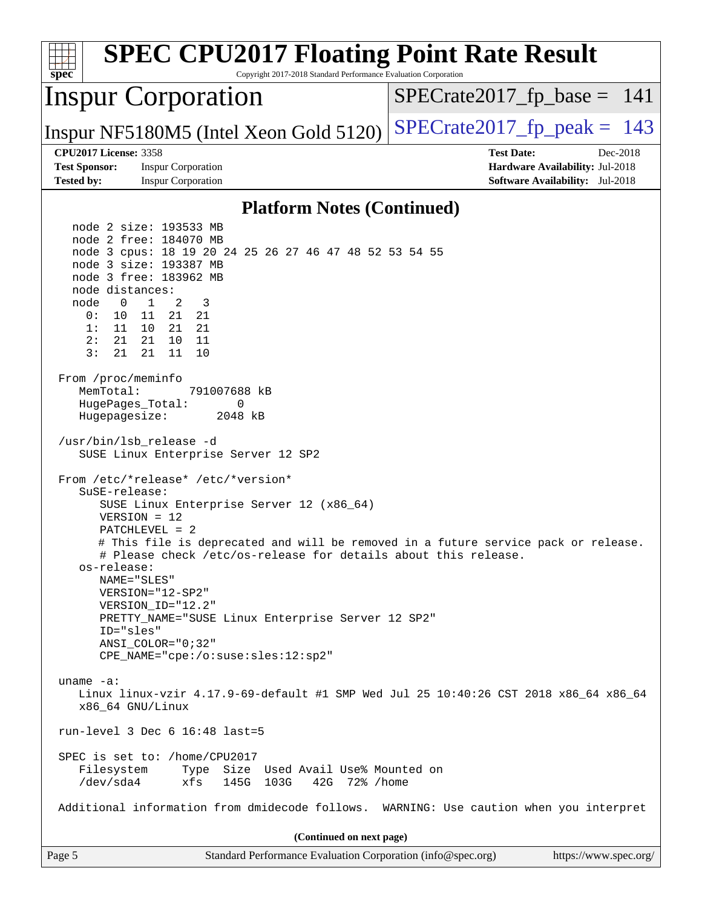| <b>SPEC CPU2017 Floating Point Rate Result</b><br>spec<br>Copyright 2017-2018 Standard Performance Evaluation Corporation                                                                                                                                                                                                                                                                                                                                                                                                                       |                                                                                                            |  |  |  |
|-------------------------------------------------------------------------------------------------------------------------------------------------------------------------------------------------------------------------------------------------------------------------------------------------------------------------------------------------------------------------------------------------------------------------------------------------------------------------------------------------------------------------------------------------|------------------------------------------------------------------------------------------------------------|--|--|--|
| <b>Inspur Corporation</b>                                                                                                                                                                                                                                                                                                                                                                                                                                                                                                                       | $SPECrate2017_fp\_base = 141$                                                                              |  |  |  |
| Inspur NF5180M5 (Intel Xeon Gold 5120)                                                                                                                                                                                                                                                                                                                                                                                                                                                                                                          | $SPECTate2017$ _fp_peak = 143                                                                              |  |  |  |
| <b>CPU2017 License: 3358</b><br><b>Test Sponsor:</b><br><b>Inspur Corporation</b><br><b>Tested by:</b><br><b>Inspur Corporation</b>                                                                                                                                                                                                                                                                                                                                                                                                             | <b>Test Date:</b><br>Dec-2018<br>Hardware Availability: Jul-2018<br><b>Software Availability:</b> Jul-2018 |  |  |  |
| <b>Platform Notes (Continued)</b>                                                                                                                                                                                                                                                                                                                                                                                                                                                                                                               |                                                                                                            |  |  |  |
| node 2 size: 193533 MB<br>node 2 free: 184070 MB<br>node 3 cpus: 18 19 20 24 25 26 27 46 47 48 52 53 54 55<br>node 3 size: 193387 MB<br>node 3 free: 183962 MB<br>node distances:<br>$\mathbf{1}$<br>node<br>$\overline{\phantom{0}}$<br>2<br>3<br>0:<br>10 <sub>1</sub><br>21 21<br>11<br>11<br>10 21 21<br>1:<br>21 10 11<br>2:<br>21<br>3:<br>21 11<br>21<br>10                                                                                                                                                                              |                                                                                                            |  |  |  |
| From /proc/meminfo<br>MemTotal:<br>791007688 kB<br>HugePages_Total:<br>0<br>Hugepagesize:<br>2048 kB<br>/usr/bin/lsb_release -d                                                                                                                                                                                                                                                                                                                                                                                                                 |                                                                                                            |  |  |  |
| SUSE Linux Enterprise Server 12 SP2<br>From /etc/*release* /etc/*version*<br>SuSE-release:<br>SUSE Linux Enterprise Server 12 (x86_64)<br>$VERSION = 12$<br>$PATCHLEVEL = 2$<br># This file is deprecated and will be removed in a future service pack or release.<br># Please check /etc/os-release for details about this release.<br>os-release:<br>NAME="SLES"<br>VERSION="12-SP2"<br>VERSION ID="12.2"<br>PRETTY_NAME="SUSE Linux Enterprise Server 12 SP2"<br>ID="sles"<br>$ANSI$ _COLOR=" $0:32$ "<br>CPE_NAME="cpe:/o:suse:sles:12:sp2" |                                                                                                            |  |  |  |
| uname $-a$ :<br>Linux linux-vzir 4.17.9-69-default #1 SMP Wed Jul 25 10:40:26 CST 2018 x86_64 x86_64<br>x86_64 GNU/Linux<br>run-level 3 Dec $6$ 16:48 last=5                                                                                                                                                                                                                                                                                                                                                                                    |                                                                                                            |  |  |  |
| SPEC is set to: /home/CPU2017<br>Type Size Used Avail Use% Mounted on<br>Filesystem<br>/dev/sda4<br>xfs<br>145G 103G<br>42G 72% / home                                                                                                                                                                                                                                                                                                                                                                                                          |                                                                                                            |  |  |  |
| Additional information from dmidecode follows. WARNING: Use caution when you interpret                                                                                                                                                                                                                                                                                                                                                                                                                                                          |                                                                                                            |  |  |  |
| (Continued on next page)                                                                                                                                                                                                                                                                                                                                                                                                                                                                                                                        |                                                                                                            |  |  |  |
| Standard Performance Evaluation Corporation (info@spec.org)<br>Page 5                                                                                                                                                                                                                                                                                                                                                                                                                                                                           | https://www.spec.org/                                                                                      |  |  |  |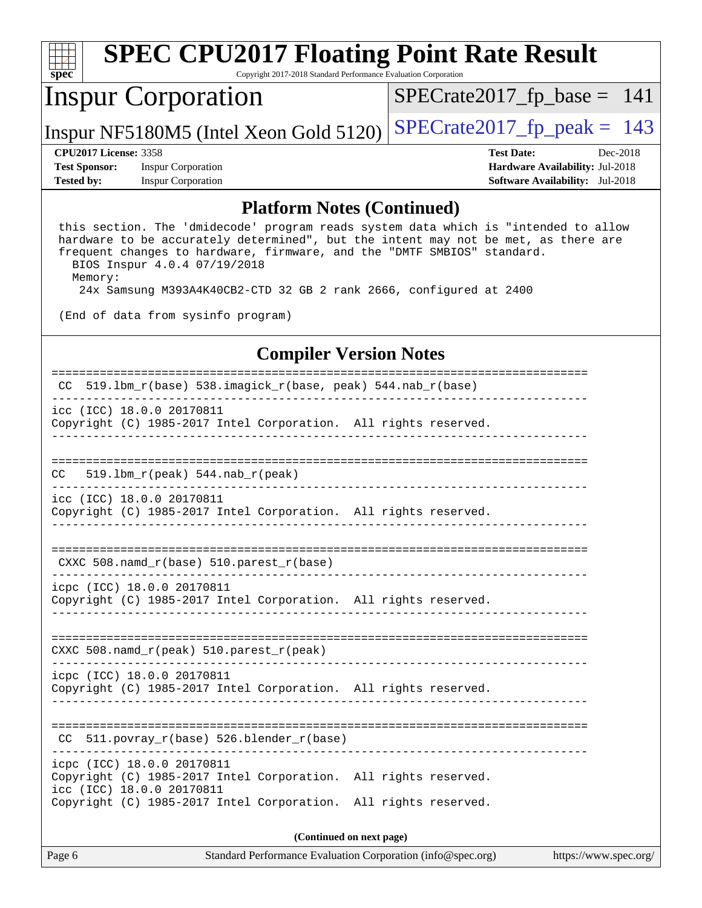| $spec*$                      | <b>SPEC CPU2017 Floating Point Rate Result</b><br>Copyright 2017-2018 Standard Performance Evaluation Corporation |                                 |          |
|------------------------------|-------------------------------------------------------------------------------------------------------------------|---------------------------------|----------|
| <b>Inspur Corporation</b>    |                                                                                                                   | $SPECrate2017_fp\_base = 141$   |          |
|                              | Inspur NF5180M5 (Intel Xeon Gold 5120)                                                                            | $SPECrate2017_fp\_peak = 143$   |          |
| <b>CPU2017 License: 3358</b> |                                                                                                                   | <b>Test Date:</b>               | Dec-2018 |
| <b>Test Sponsor:</b>         | <b>Inspur Corporation</b>                                                                                         | Hardware Availability: Jul-2018 |          |
| <b>Tested by:</b>            | <b>Inspur Corporation</b>                                                                                         | <b>Software Availability:</b>   | Jul-2018 |

#### **[Platform Notes \(Continued\)](http://www.spec.org/auto/cpu2017/Docs/result-fields.html#PlatformNotes)**

 this section. The 'dmidecode' program reads system data which is "intended to allow hardware to be accurately determined", but the intent may not be met, as there are frequent changes to hardware, firmware, and the "DMTF SMBIOS" standard. BIOS Inspur 4.0.4 07/19/2018

Memory:

24x Samsung M393A4K40CB2-CTD 32 GB 2 rank 2666, configured at 2400

(End of data from sysinfo program)

### **[Compiler Version Notes](http://www.spec.org/auto/cpu2017/Docs/result-fields.html#CompilerVersionNotes)**

| 519.1bm_r(base) 538.imagick_r(base, peak) 544.nab_r(base)<br>CC.                                                                                                                              |
|-----------------------------------------------------------------------------------------------------------------------------------------------------------------------------------------------|
| icc (ICC) 18.0.0 20170811<br>Copyright (C) 1985-2017 Intel Corporation. All rights reserved.                                                                                                  |
| $519.1$ bm_r(peak) $544.nab_r(peak)$<br>CC.<br>--------------------------------                                                                                                               |
| icc (ICC) 18.0.0 20170811<br>Copyright (C) 1985-2017 Intel Corporation. All rights reserved.                                                                                                  |
| CXXC 508. namd $r(base)$ 510. parest $r(base)$                                                                                                                                                |
| icpc (ICC) 18.0.0 20170811<br>Copyright (C) 1985-2017 Intel Corporation. All rights reserved.                                                                                                 |
| CXXC 508. namd $r(\text{peak})$ 510. parest $r(\text{peak})$                                                                                                                                  |
| icpc (ICC) 18.0.0 20170811<br>Copyright (C) 1985-2017 Intel Corporation. All rights reserved.                                                                                                 |
| 511.povray_r(base) 526.blender_r(base)<br>CC.                                                                                                                                                 |
| icpc (ICC) 18.0.0 20170811<br>Copyright (C) 1985-2017 Intel Corporation. All rights reserved.<br>icc (ICC) 18.0.0 20170811<br>Copyright (C) 1985-2017 Intel Corporation. All rights reserved. |
| (Continued on next page)                                                                                                                                                                      |

Page 6 Standard Performance Evaluation Corporation [\(info@spec.org\)](mailto:info@spec.org) <https://www.spec.org/>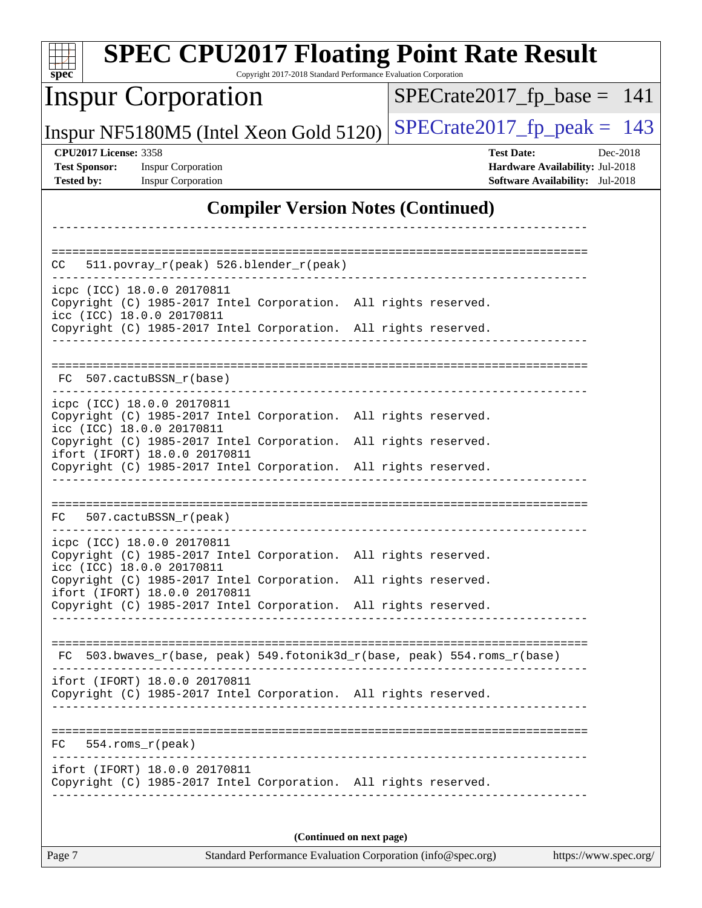| $spec^*$                                                                                            | Copyright 2017-2018 Standard Performance Evaluation Corporation | <b>SPEC CPU2017 Floating Point Rate Result</b>                           |                                                                           |  |
|-----------------------------------------------------------------------------------------------------|-----------------------------------------------------------------|--------------------------------------------------------------------------|---------------------------------------------------------------------------|--|
| <b>Inspur Corporation</b>                                                                           |                                                                 | $SPECrate2017_fp\_base = 141$                                            |                                                                           |  |
|                                                                                                     | Inspur NF5180M5 (Intel Xeon Gold 5120)                          | $SPECrate2017_fp\_peak = 143$                                            |                                                                           |  |
| <b>CPU2017 License: 3358</b>                                                                        |                                                                 | <b>Test Date:</b>                                                        | Dec-2018                                                                  |  |
| <b>Test Sponsor:</b><br><b>Inspur Corporation</b><br><b>Tested by:</b><br><b>Inspur Corporation</b> |                                                                 |                                                                          | Hardware Availability: Jul-2018<br><b>Software Availability:</b> Jul-2018 |  |
|                                                                                                     |                                                                 | <b>Compiler Version Notes (Continued)</b>                                |                                                                           |  |
|                                                                                                     |                                                                 |                                                                          |                                                                           |  |
|                                                                                                     |                                                                 |                                                                          |                                                                           |  |
| CC                                                                                                  | 511.povray_r(peak) 526.blender_r(peak)                          |                                                                          |                                                                           |  |
| icpc (ICC) 18.0.0 20170811<br>icc (ICC) 18.0.0 20170811                                             | Copyright (C) 1985-2017 Intel Corporation. All rights reserved. |                                                                          |                                                                           |  |
|                                                                                                     | Copyright (C) 1985-2017 Intel Corporation. All rights reserved. |                                                                          |                                                                           |  |
|                                                                                                     |                                                                 |                                                                          |                                                                           |  |
| FC 507.cactuBSSN_r(base)                                                                            | ------------------------------------                            | -------------------------------------                                    |                                                                           |  |
|                                                                                                     |                                                                 |                                                                          |                                                                           |  |
| icpc (ICC) 18.0.0 20170811                                                                          | Copyright (C) 1985-2017 Intel Corporation. All rights reserved. |                                                                          |                                                                           |  |
| icc (ICC) 18.0.0 20170811                                                                           | Copyright (C) 1985-2017 Intel Corporation.                      | All rights reserved.                                                     |                                                                           |  |
| ifort (IFORT) 18.0.0 20170811                                                                       | Copyright (C) 1985-2017 Intel Corporation. All rights reserved. |                                                                          |                                                                           |  |
|                                                                                                     |                                                                 |                                                                          |                                                                           |  |
|                                                                                                     |                                                                 | =================================                                        |                                                                           |  |
| 507.cactuBSSN r(peak)<br>FC.                                                                        |                                                                 |                                                                          |                                                                           |  |
| icpc (ICC) 18.0.0 20170811                                                                          | Copyright (C) 1985-2017 Intel Corporation. All rights reserved. |                                                                          |                                                                           |  |
| icc (ICC) 18.0.0 20170811                                                                           |                                                                 |                                                                          |                                                                           |  |
| ifort (IFORT) 18.0.0 20170811                                                                       | Copyright (C) 1985-2017 Intel Corporation. All rights reserved. |                                                                          |                                                                           |  |
|                                                                                                     | Copyright (C) 1985-2017 Intel Corporation. All rights reserved. |                                                                          |                                                                           |  |
|                                                                                                     |                                                                 |                                                                          |                                                                           |  |
|                                                                                                     |                                                                 | FC 503.bwaves_r(base, peak) 549.fotonik3d_r(base, peak) 554.roms_r(base) |                                                                           |  |
| ifort (IFORT) 18.0.0 20170811                                                                       |                                                                 |                                                                          |                                                                           |  |
|                                                                                                     | Copyright (C) 1985-2017 Intel Corporation. All rights reserved. |                                                                          |                                                                           |  |
|                                                                                                     |                                                                 |                                                                          |                                                                           |  |
| $FC 554.rows_r (peak)$                                                                              |                                                                 |                                                                          |                                                                           |  |
| ifort (IFORT) 18.0.0 20170811                                                                       | Copyright (C) 1985-2017 Intel Corporation. All rights reserved. |                                                                          |                                                                           |  |
|                                                                                                     |                                                                 |                                                                          |                                                                           |  |
|                                                                                                     |                                                                 |                                                                          |                                                                           |  |
| (Continued on next page)                                                                            |                                                                 |                                                                          |                                                                           |  |
| Page 7                                                                                              |                                                                 | Standard Performance Evaluation Corporation (info@spec.org)              | https://www.spec.org/                                                     |  |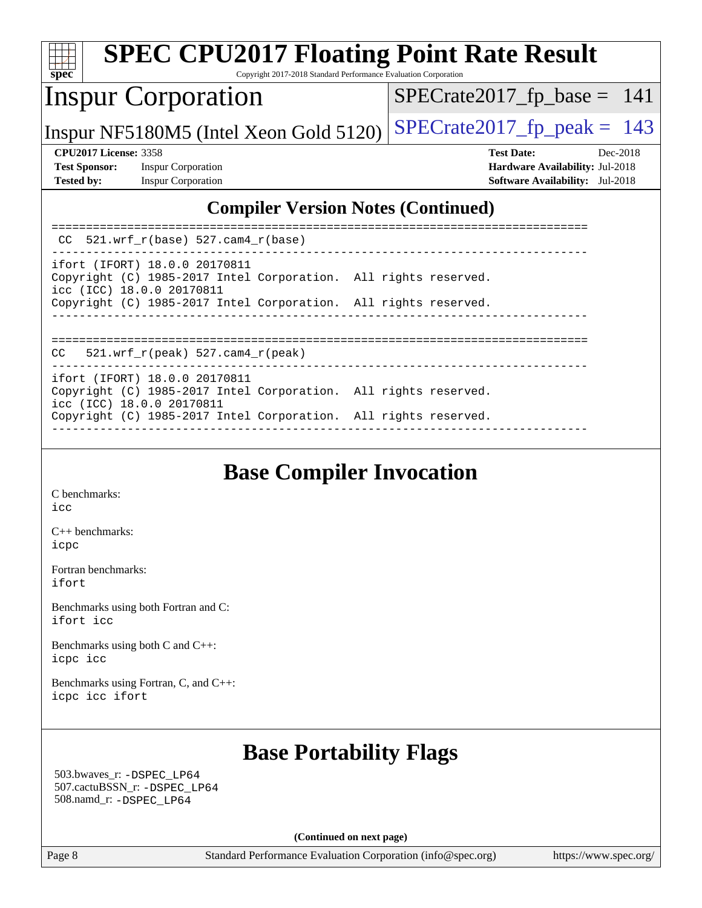| <b>SPEC CPU2017 Floating Point Rate Result</b><br>spec <sup>®</sup><br>Copyright 2017-2018 Standard Performance Evaluation Corporation |                                        |  |  |  |  |
|----------------------------------------------------------------------------------------------------------------------------------------|----------------------------------------|--|--|--|--|
| <b>Inspur Corporation</b>                                                                                                              | $SPECrate2017_fp\_base = 141$          |  |  |  |  |
| Inspur NF5180M5 (Intel Xeon Gold 5120)                                                                                                 | $SPECrate2017fp peak = 143$            |  |  |  |  |
| <b>CPU2017 License: 3358</b>                                                                                                           | <b>Test Date:</b><br>Dec-2018          |  |  |  |  |
| <b>Test Sponsor:</b><br><b>Inspur Corporation</b>                                                                                      | <b>Hardware Availability: Jul-2018</b> |  |  |  |  |
| <b>Tested by:</b><br><b>Inspur Corporation</b>                                                                                         | <b>Software Availability:</b> Jul-2018 |  |  |  |  |
| <b>Compiler Version Notes (Continued)</b><br>521.wrf $r(base)$ 527.cam4 $r(base)$<br>CC.                                               |                                        |  |  |  |  |
| ifort (IFORT) 18.0.0 20170811<br>Copyright (C) 1985-2017 Intel Corporation. All rights reserved.<br>icc (ICC) 18.0.0 20170811          |                                        |  |  |  |  |
| Copyright (C) 1985-2017 Intel Corporation. All rights reserved.                                                                        |                                        |  |  |  |  |
| $521.wrf_r(peak) 527.cam4_r(peak)$<br>CC                                                                                               |                                        |  |  |  |  |
| ifort (IFORT) 18.0.0 20170811<br>Copyright (C) 1985-2017 Intel Corporation. All rights reserved.<br>icc (ICC) 18.0.0 20170811          |                                        |  |  |  |  |
| Copyright (C) 1985-2017 Intel Corporation. All rights reserved.                                                                        |                                        |  |  |  |  |

# **[Base Compiler Invocation](http://www.spec.org/auto/cpu2017/Docs/result-fields.html#BaseCompilerInvocation)**

[C benchmarks](http://www.spec.org/auto/cpu2017/Docs/result-fields.html#Cbenchmarks): [icc](http://www.spec.org/cpu2017/results/res2018q4/cpu2017-20181211-10284.flags.html#user_CCbase_intel_icc_18.0_66fc1ee009f7361af1fbd72ca7dcefbb700085f36577c54f309893dd4ec40d12360134090235512931783d35fd58c0460139e722d5067c5574d8eaf2b3e37e92)

[C++ benchmarks:](http://www.spec.org/auto/cpu2017/Docs/result-fields.html#CXXbenchmarks) [icpc](http://www.spec.org/cpu2017/results/res2018q4/cpu2017-20181211-10284.flags.html#user_CXXbase_intel_icpc_18.0_c510b6838c7f56d33e37e94d029a35b4a7bccf4766a728ee175e80a419847e808290a9b78be685c44ab727ea267ec2f070ec5dc83b407c0218cded6866a35d07)

[Fortran benchmarks](http://www.spec.org/auto/cpu2017/Docs/result-fields.html#Fortranbenchmarks): [ifort](http://www.spec.org/cpu2017/results/res2018q4/cpu2017-20181211-10284.flags.html#user_FCbase_intel_ifort_18.0_8111460550e3ca792625aed983ce982f94888b8b503583aa7ba2b8303487b4d8a21a13e7191a45c5fd58ff318f48f9492884d4413fa793fd88dd292cad7027ca)

[Benchmarks using both Fortran and C](http://www.spec.org/auto/cpu2017/Docs/result-fields.html#BenchmarksusingbothFortranandC): [ifort](http://www.spec.org/cpu2017/results/res2018q4/cpu2017-20181211-10284.flags.html#user_CC_FCbase_intel_ifort_18.0_8111460550e3ca792625aed983ce982f94888b8b503583aa7ba2b8303487b4d8a21a13e7191a45c5fd58ff318f48f9492884d4413fa793fd88dd292cad7027ca) [icc](http://www.spec.org/cpu2017/results/res2018q4/cpu2017-20181211-10284.flags.html#user_CC_FCbase_intel_icc_18.0_66fc1ee009f7361af1fbd72ca7dcefbb700085f36577c54f309893dd4ec40d12360134090235512931783d35fd58c0460139e722d5067c5574d8eaf2b3e37e92)

[Benchmarks using both C and C++](http://www.spec.org/auto/cpu2017/Docs/result-fields.html#BenchmarksusingbothCandCXX): [icpc](http://www.spec.org/cpu2017/results/res2018q4/cpu2017-20181211-10284.flags.html#user_CC_CXXbase_intel_icpc_18.0_c510b6838c7f56d33e37e94d029a35b4a7bccf4766a728ee175e80a419847e808290a9b78be685c44ab727ea267ec2f070ec5dc83b407c0218cded6866a35d07) [icc](http://www.spec.org/cpu2017/results/res2018q4/cpu2017-20181211-10284.flags.html#user_CC_CXXbase_intel_icc_18.0_66fc1ee009f7361af1fbd72ca7dcefbb700085f36577c54f309893dd4ec40d12360134090235512931783d35fd58c0460139e722d5067c5574d8eaf2b3e37e92)

[Benchmarks using Fortran, C, and C++:](http://www.spec.org/auto/cpu2017/Docs/result-fields.html#BenchmarksusingFortranCandCXX) [icpc](http://www.spec.org/cpu2017/results/res2018q4/cpu2017-20181211-10284.flags.html#user_CC_CXX_FCbase_intel_icpc_18.0_c510b6838c7f56d33e37e94d029a35b4a7bccf4766a728ee175e80a419847e808290a9b78be685c44ab727ea267ec2f070ec5dc83b407c0218cded6866a35d07) [icc](http://www.spec.org/cpu2017/results/res2018q4/cpu2017-20181211-10284.flags.html#user_CC_CXX_FCbase_intel_icc_18.0_66fc1ee009f7361af1fbd72ca7dcefbb700085f36577c54f309893dd4ec40d12360134090235512931783d35fd58c0460139e722d5067c5574d8eaf2b3e37e92) [ifort](http://www.spec.org/cpu2017/results/res2018q4/cpu2017-20181211-10284.flags.html#user_CC_CXX_FCbase_intel_ifort_18.0_8111460550e3ca792625aed983ce982f94888b8b503583aa7ba2b8303487b4d8a21a13e7191a45c5fd58ff318f48f9492884d4413fa793fd88dd292cad7027ca)

## **[Base Portability Flags](http://www.spec.org/auto/cpu2017/Docs/result-fields.html#BasePortabilityFlags)**

 503.bwaves\_r: [-DSPEC\\_LP64](http://www.spec.org/cpu2017/results/res2018q4/cpu2017-20181211-10284.flags.html#suite_basePORTABILITY503_bwaves_r_DSPEC_LP64) 507.cactuBSSN\_r: [-DSPEC\\_LP64](http://www.spec.org/cpu2017/results/res2018q4/cpu2017-20181211-10284.flags.html#suite_basePORTABILITY507_cactuBSSN_r_DSPEC_LP64) 508.namd\_r: [-DSPEC\\_LP64](http://www.spec.org/cpu2017/results/res2018q4/cpu2017-20181211-10284.flags.html#suite_basePORTABILITY508_namd_r_DSPEC_LP64)

**(Continued on next page)**

Page 8 Standard Performance Evaluation Corporation [\(info@spec.org\)](mailto:info@spec.org) <https://www.spec.org/>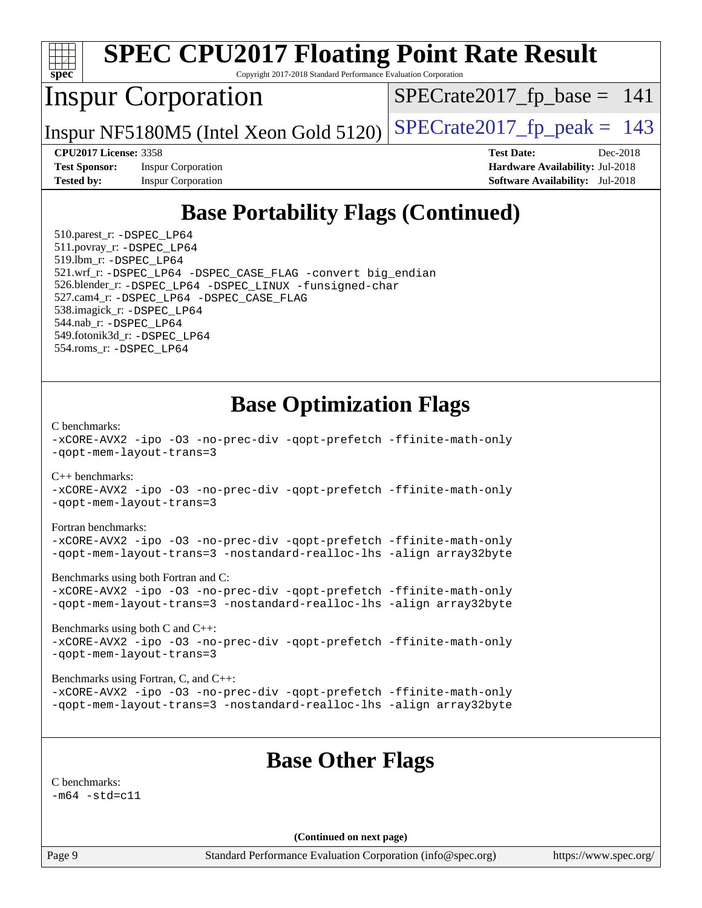

[C benchmarks](http://www.spec.org/auto/cpu2017/Docs/result-fields.html#Cbenchmarks):

 $-m64 - std= c11$  $-m64 - std= c11$ 

**(Continued on next page)**

Page 9 Standard Performance Evaluation Corporation [\(info@spec.org\)](mailto:info@spec.org) <https://www.spec.org/>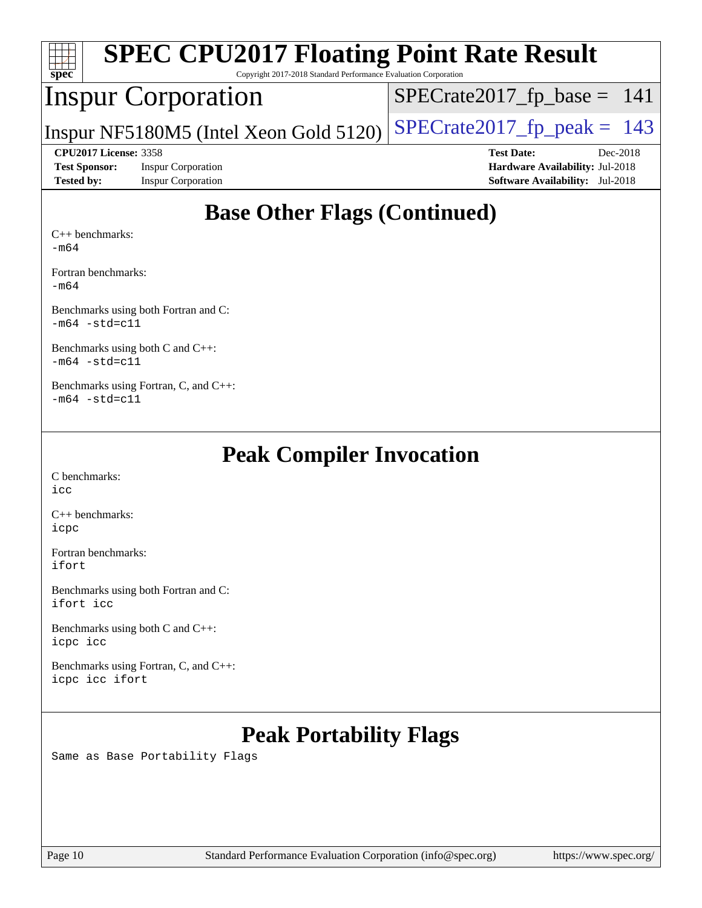| spec                                              | <b>SPEC CPU2017 Floating Point Rate Result</b><br>Copyright 2017-2018 Standard Performance Evaluation Corporation |                                        |            |
|---------------------------------------------------|-------------------------------------------------------------------------------------------------------------------|----------------------------------------|------------|
|                                                   | <b>Inspur Corporation</b>                                                                                         | $SPECrate2017_fp\_base = 141$          |            |
|                                                   | Inspur NF5180M5 (Intel Xeon Gold 5120)                                                                            | $SPECrate2017_fp\_peak = 143$          |            |
| <b>CPU2017 License: 3358</b>                      |                                                                                                                   | <b>Test Date:</b>                      | $Dec-2018$ |
| <b>Test Sponsor:</b><br><b>Inspur Corporation</b> |                                                                                                                   | Hardware Availability: Jul-2018        |            |
| <b>Inspur Corporation</b><br><b>Tested by:</b>    |                                                                                                                   | <b>Software Availability:</b> Jul-2018 |            |
| $C_{++}$ benchmarks:<br>-m64                      | <b>Base Other Flags (Continued)</b>                                                                               |                                        |            |

[Fortran benchmarks](http://www.spec.org/auto/cpu2017/Docs/result-fields.html#Fortranbenchmarks):

[-m64](http://www.spec.org/cpu2017/results/res2018q4/cpu2017-20181211-10284.flags.html#user_FCbase_intel_intel64_18.0_af43caccfc8ded86e7699f2159af6efc7655f51387b94da716254467f3c01020a5059329e2569e4053f409e7c9202a7efc638f7a6d1ffb3f52dea4a3e31d82ab)

[Benchmarks using both Fortran and C](http://www.spec.org/auto/cpu2017/Docs/result-fields.html#BenchmarksusingbothFortranandC): [-m64](http://www.spec.org/cpu2017/results/res2018q4/cpu2017-20181211-10284.flags.html#user_CC_FCbase_intel_intel64_18.0_af43caccfc8ded86e7699f2159af6efc7655f51387b94da716254467f3c01020a5059329e2569e4053f409e7c9202a7efc638f7a6d1ffb3f52dea4a3e31d82ab) [-std=c11](http://www.spec.org/cpu2017/results/res2018q4/cpu2017-20181211-10284.flags.html#user_CC_FCbase_intel_compiler_c11_mode_0e1c27790398a4642dfca32ffe6c27b5796f9c2d2676156f2e42c9c44eaad0c049b1cdb667a270c34d979996257aeb8fc440bfb01818dbc9357bd9d174cb8524)

[Benchmarks using both C and C++](http://www.spec.org/auto/cpu2017/Docs/result-fields.html#BenchmarksusingbothCandCXX): [-m64](http://www.spec.org/cpu2017/results/res2018q4/cpu2017-20181211-10284.flags.html#user_CC_CXXbase_intel_intel64_18.0_af43caccfc8ded86e7699f2159af6efc7655f51387b94da716254467f3c01020a5059329e2569e4053f409e7c9202a7efc638f7a6d1ffb3f52dea4a3e31d82ab) [-std=c11](http://www.spec.org/cpu2017/results/res2018q4/cpu2017-20181211-10284.flags.html#user_CC_CXXbase_intel_compiler_c11_mode_0e1c27790398a4642dfca32ffe6c27b5796f9c2d2676156f2e42c9c44eaad0c049b1cdb667a270c34d979996257aeb8fc440bfb01818dbc9357bd9d174cb8524)

[Benchmarks using Fortran, C, and C++:](http://www.spec.org/auto/cpu2017/Docs/result-fields.html#BenchmarksusingFortranCandCXX)  $-m64$   $-std=cl1$ 

# **[Peak Compiler Invocation](http://www.spec.org/auto/cpu2017/Docs/result-fields.html#PeakCompilerInvocation)**

[C benchmarks](http://www.spec.org/auto/cpu2017/Docs/result-fields.html#Cbenchmarks): [icc](http://www.spec.org/cpu2017/results/res2018q4/cpu2017-20181211-10284.flags.html#user_CCpeak_intel_icc_18.0_66fc1ee009f7361af1fbd72ca7dcefbb700085f36577c54f309893dd4ec40d12360134090235512931783d35fd58c0460139e722d5067c5574d8eaf2b3e37e92)

[C++ benchmarks:](http://www.spec.org/auto/cpu2017/Docs/result-fields.html#CXXbenchmarks) [icpc](http://www.spec.org/cpu2017/results/res2018q4/cpu2017-20181211-10284.flags.html#user_CXXpeak_intel_icpc_18.0_c510b6838c7f56d33e37e94d029a35b4a7bccf4766a728ee175e80a419847e808290a9b78be685c44ab727ea267ec2f070ec5dc83b407c0218cded6866a35d07)

[Fortran benchmarks](http://www.spec.org/auto/cpu2017/Docs/result-fields.html#Fortranbenchmarks): [ifort](http://www.spec.org/cpu2017/results/res2018q4/cpu2017-20181211-10284.flags.html#user_FCpeak_intel_ifort_18.0_8111460550e3ca792625aed983ce982f94888b8b503583aa7ba2b8303487b4d8a21a13e7191a45c5fd58ff318f48f9492884d4413fa793fd88dd292cad7027ca)

[Benchmarks using both Fortran and C](http://www.spec.org/auto/cpu2017/Docs/result-fields.html#BenchmarksusingbothFortranandC): [ifort](http://www.spec.org/cpu2017/results/res2018q4/cpu2017-20181211-10284.flags.html#user_CC_FCpeak_intel_ifort_18.0_8111460550e3ca792625aed983ce982f94888b8b503583aa7ba2b8303487b4d8a21a13e7191a45c5fd58ff318f48f9492884d4413fa793fd88dd292cad7027ca) [icc](http://www.spec.org/cpu2017/results/res2018q4/cpu2017-20181211-10284.flags.html#user_CC_FCpeak_intel_icc_18.0_66fc1ee009f7361af1fbd72ca7dcefbb700085f36577c54f309893dd4ec40d12360134090235512931783d35fd58c0460139e722d5067c5574d8eaf2b3e37e92)

[Benchmarks using both C and C++](http://www.spec.org/auto/cpu2017/Docs/result-fields.html#BenchmarksusingbothCandCXX): [icpc](http://www.spec.org/cpu2017/results/res2018q4/cpu2017-20181211-10284.flags.html#user_CC_CXXpeak_intel_icpc_18.0_c510b6838c7f56d33e37e94d029a35b4a7bccf4766a728ee175e80a419847e808290a9b78be685c44ab727ea267ec2f070ec5dc83b407c0218cded6866a35d07) [icc](http://www.spec.org/cpu2017/results/res2018q4/cpu2017-20181211-10284.flags.html#user_CC_CXXpeak_intel_icc_18.0_66fc1ee009f7361af1fbd72ca7dcefbb700085f36577c54f309893dd4ec40d12360134090235512931783d35fd58c0460139e722d5067c5574d8eaf2b3e37e92)

[Benchmarks using Fortran, C, and C++:](http://www.spec.org/auto/cpu2017/Docs/result-fields.html#BenchmarksusingFortranCandCXX) [icpc](http://www.spec.org/cpu2017/results/res2018q4/cpu2017-20181211-10284.flags.html#user_CC_CXX_FCpeak_intel_icpc_18.0_c510b6838c7f56d33e37e94d029a35b4a7bccf4766a728ee175e80a419847e808290a9b78be685c44ab727ea267ec2f070ec5dc83b407c0218cded6866a35d07) [icc](http://www.spec.org/cpu2017/results/res2018q4/cpu2017-20181211-10284.flags.html#user_CC_CXX_FCpeak_intel_icc_18.0_66fc1ee009f7361af1fbd72ca7dcefbb700085f36577c54f309893dd4ec40d12360134090235512931783d35fd58c0460139e722d5067c5574d8eaf2b3e37e92) [ifort](http://www.spec.org/cpu2017/results/res2018q4/cpu2017-20181211-10284.flags.html#user_CC_CXX_FCpeak_intel_ifort_18.0_8111460550e3ca792625aed983ce982f94888b8b503583aa7ba2b8303487b4d8a21a13e7191a45c5fd58ff318f48f9492884d4413fa793fd88dd292cad7027ca)

# **[Peak Portability Flags](http://www.spec.org/auto/cpu2017/Docs/result-fields.html#PeakPortabilityFlags)**

Same as Base Portability Flags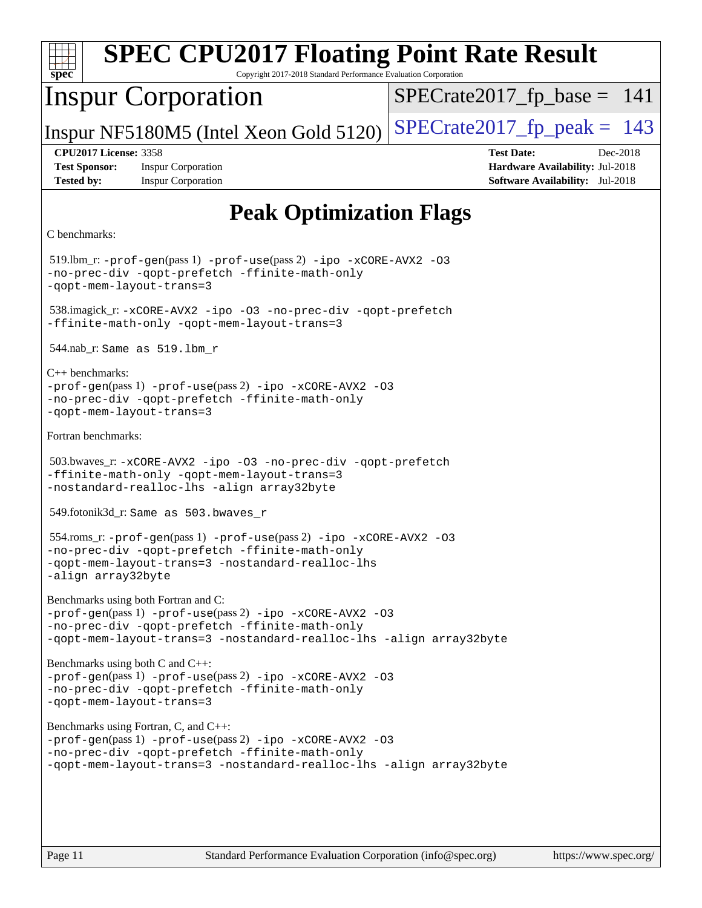| <b>SPEC CPU2017 Floating Point Rate Result</b><br>spec<br>Copyright 2017-2018 Standard Performance Evaluation Corporation                                                                                                  |                                                                                                     |  |  |  |
|----------------------------------------------------------------------------------------------------------------------------------------------------------------------------------------------------------------------------|-----------------------------------------------------------------------------------------------------|--|--|--|
| <b>Inspur Corporation</b>                                                                                                                                                                                                  | $SPECrate2017_fp\_base = 141$                                                                       |  |  |  |
| Inspur NF5180M5 (Intel Xeon Gold 5120)                                                                                                                                                                                     | $SPECrate2017_fp\_peak = 143$                                                                       |  |  |  |
| <b>CPU2017 License: 3358</b><br><b>Test Sponsor:</b><br><b>Inspur Corporation</b><br><b>Tested by:</b><br><b>Inspur Corporation</b>                                                                                        | <b>Test Date:</b><br>Dec-2018<br>Hardware Availability: Jul-2018<br>Software Availability: Jul-2018 |  |  |  |
| <b>Peak Optimization Flags</b>                                                                                                                                                                                             |                                                                                                     |  |  |  |
| C benchmarks:                                                                                                                                                                                                              |                                                                                                     |  |  |  |
| $519$ .lbm_r: -prof-gen(pass 1) -prof-use(pass 2) -ipo -xCORE-AVX2 -03<br>-no-prec-div -qopt-prefetch -ffinite-math-only<br>-qopt-mem-layout-trans=3                                                                       |                                                                                                     |  |  |  |
| 538.imagick_r: -xCORE-AVX2 -ipo -03 -no-prec-div -qopt-prefetch<br>-ffinite-math-only -qopt-mem-layout-trans=3                                                                                                             |                                                                                                     |  |  |  |
| $544.nab_r$ : Same as $519.lbm_r$                                                                                                                                                                                          |                                                                                                     |  |  |  |
| $C_{++}$ benchmarks:<br>$-prof-gen(pass 1) -prof-use(pass 2) -ipo -xCORE-AVX2 -O3$<br>-no-prec-div -qopt-prefetch -ffinite-math-only<br>-qopt-mem-layout-trans=3                                                           |                                                                                                     |  |  |  |
| Fortran benchmarks:                                                                                                                                                                                                        |                                                                                                     |  |  |  |
| 503.bwaves_r:-xCORE-AVX2 -ipo -03 -no-prec-div -qopt-prefetch<br>-ffinite-math-only -qopt-mem-layout-trans=3<br>-nostandard-realloc-lhs -align array32byte                                                                 |                                                                                                     |  |  |  |
| 549.fotonik3d_r: Same as 503.bwaves_r                                                                                                                                                                                      |                                                                                                     |  |  |  |
| 554.roms_r:-prof-gen(pass 1) -prof-use(pass 2) -ipo -xCORE-AVX2 -03<br>-no-prec-div -qopt-prefetch -ffinite-math-only<br>-qopt-mem-layout-trans=3 -nostandard-realloc-lhs<br>-align array32byte                            |                                                                                                     |  |  |  |
| Benchmarks using both Fortran and C:<br>-prof-gen(pass 1) -prof-use(pass 2) -ipo -xCORE-AVX2 -03<br>-no-prec-div -qopt-prefetch -ffinite-math-only<br>-qopt-mem-layout-trans=3 -nostandard-realloc-lhs -align array32byte  |                                                                                                     |  |  |  |
| Benchmarks using both C and C++:<br>-prof-gen(pass 1) -prof-use(pass 2) -ipo -xCORE-AVX2 -03<br>-no-prec-div -qopt-prefetch -ffinite-math-only<br>-qopt-mem-layout-trans=3                                                 |                                                                                                     |  |  |  |
| Benchmarks using Fortran, C, and C++:<br>-prof-gen(pass 1) -prof-use(pass 2) -ipo -xCORE-AVX2 -03<br>-no-prec-div -qopt-prefetch -ffinite-math-only<br>-qopt-mem-layout-trans=3 -nostandard-realloc-lhs -align array32byte |                                                                                                     |  |  |  |
| Page 11<br>Standard Performance Evaluation Corporation (info@spec.org)                                                                                                                                                     | https://www.spec.org/                                                                               |  |  |  |